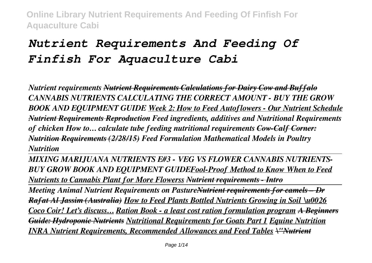# *Nutrient Requirements And Feeding Of Finfish For Aquaculture Cabi*

*Nutrient requirements Nutrient Requirements Calculations for Dairy Cow and Buffalo CANNABIS NUTRIENTS CALCULATING THE CORRECT AMOUNT - BUY THE GROW BOOK AND EQUIPMENT GUIDE Week 2: How to Feed Autoflowers - Our Nutrient Schedule Nutrient Requirements Reproduction Feed ingredients, additives and Nutritional Requirements of chicken How to… calculate tube feeding nutritional requirements Cow-Calf Corner: Nutrition Requirements (2/28/15) Feed Formulation Mathematical Models in Poultry Nutrition* 

*MIXING MARIJUANA NUTRIENTS E#3 - VEG VS FLOWER CANNABIS NUTRIENTS-BUY GROW BOOK AND EQUIPMENT GUIDEFool-Proof Method to Know When to Feed Nutrients to Cannabis Plant for More Flowerss Nutrient requirements - Intro*

*Meeting Animal Nutrient Requirements on PastureNutrient requirements for camels – Dr Rafat Al Jassim (Australia) How to Feed Plants Bottled Nutrients Growing in Soil \u0026 Coco Coir! Let's discuss… Ration Book - a least cost ration formulation program A Beginners Guide: Hydroponic Nutrients Nutritional Requirements for Goats Part 1 Equine Nutrition INRA Nutrient Requirements, Recommended Allowances and Feed Tables \"Nutrient*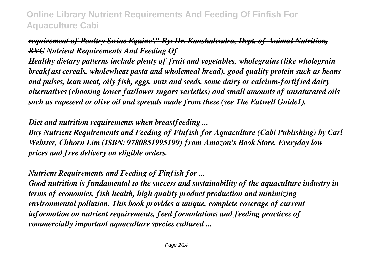### *requirement of Poultry Swine Equine\" By: Dr. Kaushalendra, Dept. of Animal Nutrition, BVC Nutrient Requirements And Feeding Of*

*Healthy dietary patterns include plenty of fruit and vegetables, wholegrains (like wholegrain breakfast cereals, wholewheat pasta and wholemeal bread), good quality protein such as beans and pulses, lean meat, oily fish, eggs, nuts and seeds, some dairy or calcium-fortified dairy alternatives (choosing lower fat/lower sugars varieties) and small amounts of unsaturated oils such as rapeseed or olive oil and spreads made from these (see The Eatwell Guide1).*

### *Diet and nutrition requirements when breastfeeding ...*

*Buy Nutrient Requirements and Feeding of Finfish for Aquaculture (Cabi Publishing) by Carl Webster, Chhorn Lim (ISBN: 9780851995199) from Amazon's Book Store. Everyday low prices and free delivery on eligible orders.*

### *Nutrient Requirements and Feeding of Finfish for ...*

*Good nutrition is fundamental to the success and sustainability of the aquaculture industry in terms of economics, fish health, high quality product production and minimizing environmental pollution. This book provides a unique, complete coverage of current information on nutrient requirements, feed formulations and feeding practices of commercially important aquaculture species cultured ...*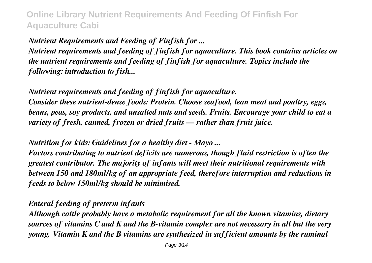*Nutrient Requirements and Feeding of Finfish for ...*

*Nutrient requirements and feeding of finfish for aquaculture. This book contains articles on the nutrient requirements and feeding of finfish for aquaculture. Topics include the following: introduction to fish...*

*Nutrient requirements and feeding of finfish for aquaculture. Consider these nutrient-dense foods: Protein. Choose seafood, lean meat and poultry, eggs, beans, peas, soy products, and unsalted nuts and seeds. Fruits. Encourage your child to eat a variety of fresh, canned, frozen or dried fruits — rather than fruit juice.*

*Nutrition for kids: Guidelines for a healthy diet - Mayo ...*

*Factors contributing to nutrient deficits are numerous, though fluid restriction is often the greatest contributor. The majority of infants will meet their nutritional requirements with between 150 and 180ml/kg of an appropriate feed, therefore interruption and reductions in feeds to below 150ml/kg should be minimised.*

*Enteral feeding of preterm infants*

*Although cattle probably have a metabolic requirement for all the known vitamins, dietary sources of vitamins C and K and the B-vitamin complex are not necessary in all but the very young. Vitamin K and the B vitamins are synthesized in sufficient amounts by the ruminal*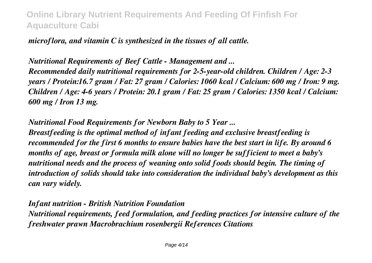*microflora, and vitamin C is synthesized in the tissues of all cattle.*

*Nutritional Requirements of Beef Cattle - Management and ... Recommended daily nutritional requirements for 2-5-year-old children. Children / Age: 2-3 years / Protein:16.7 gram / Fat: 27 gram / Calories: 1060 kcal / Calcium: 600 mg / Iron: 9 mg. Children / Age: 4-6 years / Protein: 20.1 gram / Fat: 25 gram / Calories: 1350 kcal / Calcium: 600 mg / Iron 13 mg.*

*Nutritional Food Requirements for Newborn Baby to 5 Year ...*

*Breastfeeding is the optimal method of infant feeding and exclusive breastfeeding is recommended for the first 6 months to ensure babies have the best start in life. By around 6 months of age, breast or formula milk alone will no longer be sufficient to meet a baby's nutritional needs and the process of weaning onto solid foods should begin. The timing of introduction of solids should take into consideration the individual baby's development as this can vary widely.*

*Infant nutrition - British Nutrition Foundation Nutritional requirements, feed formulation, and feeding practices for intensive culture of the freshwater prawn Macrobrachium rosenbergii References Citations*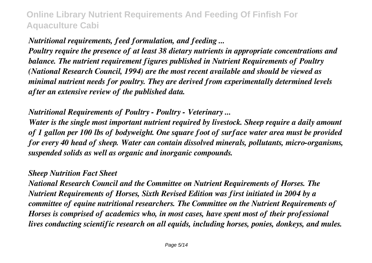*Nutritional requirements, feed formulation, and feeding ...*

*Poultry require the presence of at least 38 dietary nutrients in appropriate concentrations and balance. The nutrient requirement figures published in Nutrient Requirements of Poultry (National Research Council, 1994) are the most recent available and should be viewed as minimal nutrient needs for poultry. They are derived from experimentally determined levels after an extensive review of the published data.*

#### *Nutritional Requirements of Poultry - Poultry - Veterinary ...*

*Water is the single most important nutrient required by livestock. Sheep require a daily amount of 1 gallon per 100 lbs of bodyweight. One square foot of surface water area must be provided for every 40 head of sheep. Water can contain dissolved minerals, pollutants, micro-organisms, suspended solids as well as organic and inorganic compounds.*

#### *Sheep Nutrition Fact Sheet*

*National Research Council and the Committee on Nutrient Requirements of Horses. The Nutrient Requirements of Horses, Sixth Revised Edition was first initiated in 2004 by a committee of equine nutritional researchers. The Committee on the Nutrient Requirements of Horses is comprised of academics who, in most cases, have spent most of their professional lives conducting scientific research on all equids, including horses, ponies, donkeys, and mules.*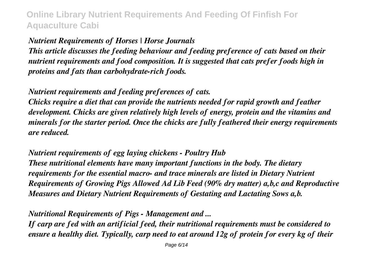### *Nutrient Requirements of Horses | Horse Journals*

*This article discusses the feeding behaviour and feeding preference of cats based on their nutrient requirements and food composition. It is suggested that cats prefer foods high in proteins and fats than carbohydrate-rich foods.*

*Nutrient requirements and feeding preferences of cats.*

*Chicks require a diet that can provide the nutrients needed for rapid growth and feather development. Chicks are given relatively high levels of energy, protein and the vitamins and minerals for the starter period. Once the chicks are fully feathered their energy requirements are reduced.*

*Nutrient requirements of egg laying chickens - Poultry Hub These nutritional elements have many important functions in the body. The dietary requirements for the essential macro- and trace minerals are listed in Dietary Nutrient Requirements of Growing Pigs Allowed Ad Lib Feed (90% dry matter) a,b,c and Reproductive Measures and Dietary Nutrient Requirements of Gestating and Lactating Sows a,b.*

*Nutritional Requirements of Pigs - Management and ...*

*If carp are fed with an artificial feed, their nutritional requirements must be considered to ensure a healthy diet. Typically, carp need to eat around 12g of protein for every kg of their*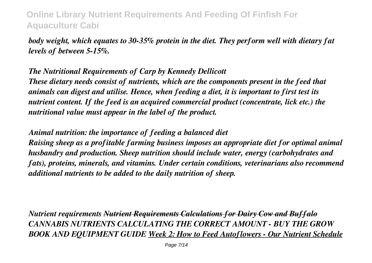*body weight, which equates to 30-35% protein in the diet. They perform well with dietary fat levels of between 5-15%.*

### *The Nutritional Requirements of Carp by Kennedy Dellicott*

*These dietary needs consist of nutrients, which are the components present in the feed that animals can digest and utilise. Hence, when feeding a diet, it is important to first test its nutrient content. If the feed is an acquired commercial product (concentrate, lick etc.) the nutritional value must appear in the label of the product.*

#### *Animal nutrition: the importance of feeding a balanced diet*

*Raising sheep as a profitable farming business imposes an appropriate diet for optimal animal husbandry and production. Sheep nutrition should include water, energy (carbohydrates and fats), proteins, minerals, and vitamins. Under certain conditions, veterinarians also recommend additional nutrients to be added to the daily nutrition of sheep.*

*Nutrient requirements Nutrient Requirements Calculations for Dairy Cow and Buffalo CANNABIS NUTRIENTS CALCULATING THE CORRECT AMOUNT - BUY THE GROW BOOK AND EQUIPMENT GUIDE Week 2: How to Feed Autoflowers - Our Nutrient Schedule*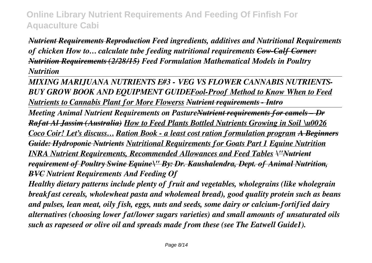*Nutrient Requirements Reproduction Feed ingredients, additives and Nutritional Requirements of chicken How to… calculate tube feeding nutritional requirements Cow-Calf Corner: Nutrition Requirements (2/28/15) Feed Formulation Mathematical Models in Poultry Nutrition* 

*MIXING MARIJUANA NUTRIENTS E#3 - VEG VS FLOWER CANNABIS NUTRIENTS-BUY GROW BOOK AND EQUIPMENT GUIDEFool-Proof Method to Know When to Feed Nutrients to Cannabis Plant for More Flowerss Nutrient requirements - Intro*

*Meeting Animal Nutrient Requirements on PastureNutrient requirements for camels – Dr Rafat Al Jassim (Australia) How to Feed Plants Bottled Nutrients Growing in Soil \u0026 Coco Coir! Let's discuss… Ration Book - a least cost ration formulation program A Beginners Guide: Hydroponic Nutrients Nutritional Requirements for Goats Part 1 Equine Nutrition INRA Nutrient Requirements, Recommended Allowances and Feed Tables \"Nutrient requirement of Poultry Swine Equine\" By: Dr. Kaushalendra, Dept. of Animal Nutrition, BVC Nutrient Requirements And Feeding Of*

*Healthy dietary patterns include plenty of fruit and vegetables, wholegrains (like wholegrain breakfast cereals, wholewheat pasta and wholemeal bread), good quality protein such as beans and pulses, lean meat, oily fish, eggs, nuts and seeds, some dairy or calcium-fortified dairy alternatives (choosing lower fat/lower sugars varieties) and small amounts of unsaturated oils such as rapeseed or olive oil and spreads made from these (see The Eatwell Guide1).*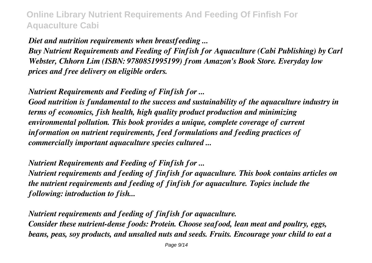*Diet and nutrition requirements when breastfeeding ...*

*Buy Nutrient Requirements and Feeding of Finfish for Aquaculture (Cabi Publishing) by Carl Webster, Chhorn Lim (ISBN: 9780851995199) from Amazon's Book Store. Everyday low prices and free delivery on eligible orders.*

*Nutrient Requirements and Feeding of Finfish for ...*

*Good nutrition is fundamental to the success and sustainability of the aquaculture industry in terms of economics, fish health, high quality product production and minimizing environmental pollution. This book provides a unique, complete coverage of current information on nutrient requirements, feed formulations and feeding practices of commercially important aquaculture species cultured ...*

*Nutrient Requirements and Feeding of Finfish for ...*

*Nutrient requirements and feeding of finfish for aquaculture. This book contains articles on the nutrient requirements and feeding of finfish for aquaculture. Topics include the following: introduction to fish...*

*Nutrient requirements and feeding of finfish for aquaculture. Consider these nutrient-dense foods: Protein. Choose seafood, lean meat and poultry, eggs, beans, peas, soy products, and unsalted nuts and seeds. Fruits. Encourage your child to eat a*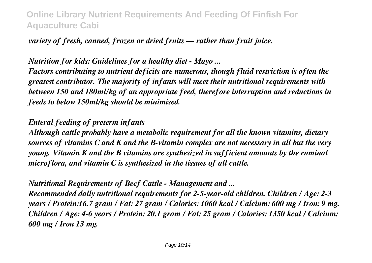### *variety of fresh, canned, frozen or dried fruits — rather than fruit juice.*

#### *Nutrition for kids: Guidelines for a healthy diet - Mayo ...*

*Factors contributing to nutrient deficits are numerous, though fluid restriction is often the greatest contributor. The majority of infants will meet their nutritional requirements with between 150 and 180ml/kg of an appropriate feed, therefore interruption and reductions in feeds to below 150ml/kg should be minimised.*

#### *Enteral feeding of preterm infants*

*Although cattle probably have a metabolic requirement for all the known vitamins, dietary sources of vitamins C and K and the B-vitamin complex are not necessary in all but the very young. Vitamin K and the B vitamins are synthesized in sufficient amounts by the ruminal microflora, and vitamin C is synthesized in the tissues of all cattle.*

*Nutritional Requirements of Beef Cattle - Management and ...*

*Recommended daily nutritional requirements for 2-5-year-old children. Children / Age: 2-3 years / Protein:16.7 gram / Fat: 27 gram / Calories: 1060 kcal / Calcium: 600 mg / Iron: 9 mg. Children / Age: 4-6 years / Protein: 20.1 gram / Fat: 25 gram / Calories: 1350 kcal / Calcium: 600 mg / Iron 13 mg.*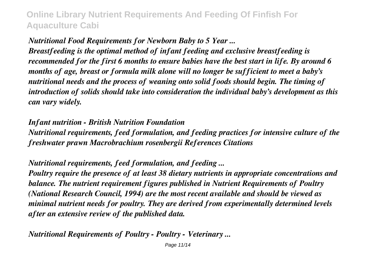#### *Nutritional Food Requirements for Newborn Baby to 5 Year ...*

*Breastfeeding is the optimal method of infant feeding and exclusive breastfeeding is recommended for the first 6 months to ensure babies have the best start in life. By around 6 months of age, breast or formula milk alone will no longer be sufficient to meet a baby's nutritional needs and the process of weaning onto solid foods should begin. The timing of introduction of solids should take into consideration the individual baby's development as this can vary widely.*

*Infant nutrition - British Nutrition Foundation Nutritional requirements, feed formulation, and feeding practices for intensive culture of the freshwater prawn Macrobrachium rosenbergii References Citations*

### *Nutritional requirements, feed formulation, and feeding ...*

*Poultry require the presence of at least 38 dietary nutrients in appropriate concentrations and balance. The nutrient requirement figures published in Nutrient Requirements of Poultry (National Research Council, 1994) are the most recent available and should be viewed as minimal nutrient needs for poultry. They are derived from experimentally determined levels after an extensive review of the published data.*

*Nutritional Requirements of Poultry - Poultry - Veterinary ...*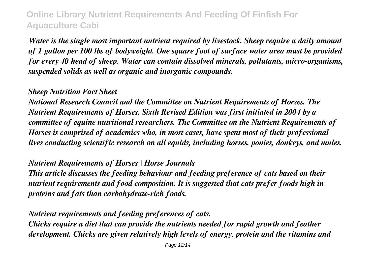*Water is the single most important nutrient required by livestock. Sheep require a daily amount of 1 gallon per 100 lbs of bodyweight. One square foot of surface water area must be provided for every 40 head of sheep. Water can contain dissolved minerals, pollutants, micro-organisms, suspended solids as well as organic and inorganic compounds.*

#### *Sheep Nutrition Fact Sheet*

*National Research Council and the Committee on Nutrient Requirements of Horses. The Nutrient Requirements of Horses, Sixth Revised Edition was first initiated in 2004 by a committee of equine nutritional researchers. The Committee on the Nutrient Requirements of Horses is comprised of academics who, in most cases, have spent most of their professional lives conducting scientific research on all equids, including horses, ponies, donkeys, and mules.*

#### *Nutrient Requirements of Horses | Horse Journals*

*This article discusses the feeding behaviour and feeding preference of cats based on their nutrient requirements and food composition. It is suggested that cats prefer foods high in proteins and fats than carbohydrate-rich foods.*

### *Nutrient requirements and feeding preferences of cats.*

*Chicks require a diet that can provide the nutrients needed for rapid growth and feather development. Chicks are given relatively high levels of energy, protein and the vitamins and*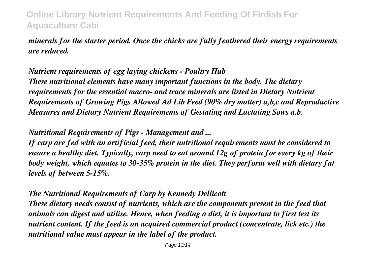*minerals for the starter period. Once the chicks are fully feathered their energy requirements are reduced.*

*Nutrient requirements of egg laying chickens - Poultry Hub These nutritional elements have many important functions in the body. The dietary requirements for the essential macro- and trace minerals are listed in Dietary Nutrient Requirements of Growing Pigs Allowed Ad Lib Feed (90% dry matter) a,b,c and Reproductive Measures and Dietary Nutrient Requirements of Gestating and Lactating Sows a,b.*

*Nutritional Requirements of Pigs - Management and ...*

*If carp are fed with an artificial feed, their nutritional requirements must be considered to ensure a healthy diet. Typically, carp need to eat around 12g of protein for every kg of their body weight, which equates to 30-35% protein in the diet. They perform well with dietary fat levels of between 5-15%.*

*The Nutritional Requirements of Carp by Kennedy Dellicott*

*These dietary needs consist of nutrients, which are the components present in the feed that animals can digest and utilise. Hence, when feeding a diet, it is important to first test its nutrient content. If the feed is an acquired commercial product (concentrate, lick etc.) the nutritional value must appear in the label of the product.*